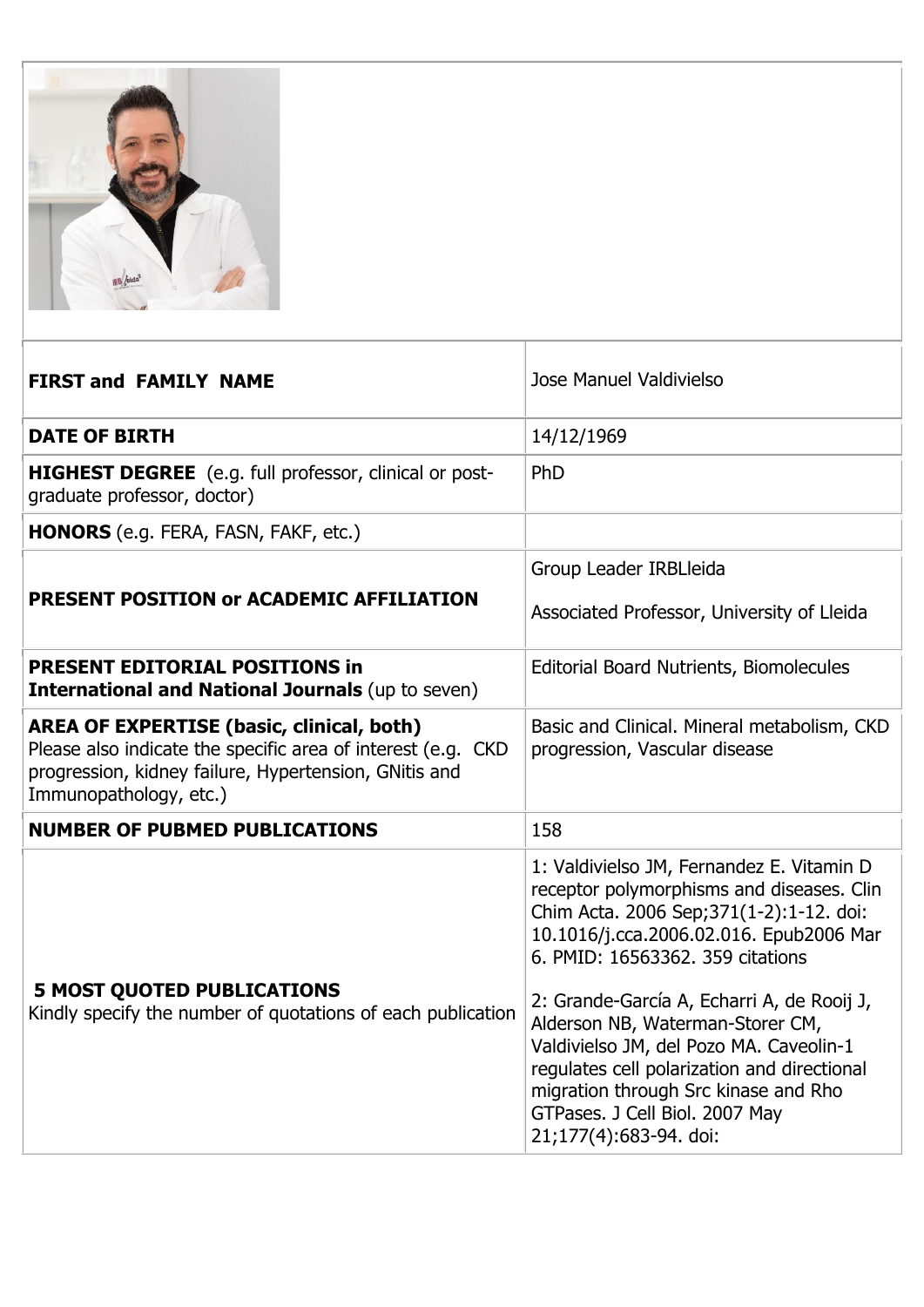

| <b>FIRST and FAMILY NAME</b>                                                                                                                                                                        | Jose Manuel Valdivielso                                                                                                                                                                                                                                                                                                                                                                                                                                                                          |
|-----------------------------------------------------------------------------------------------------------------------------------------------------------------------------------------------------|--------------------------------------------------------------------------------------------------------------------------------------------------------------------------------------------------------------------------------------------------------------------------------------------------------------------------------------------------------------------------------------------------------------------------------------------------------------------------------------------------|
| <b>DATE OF BIRTH</b>                                                                                                                                                                                | 14/12/1969                                                                                                                                                                                                                                                                                                                                                                                                                                                                                       |
| <b>HIGHEST DEGREE</b> (e.g. full professor, clinical or post-<br>graduate professor, doctor)                                                                                                        | PhD                                                                                                                                                                                                                                                                                                                                                                                                                                                                                              |
| HONORS (e.g. FERA, FASN, FAKF, etc.)                                                                                                                                                                |                                                                                                                                                                                                                                                                                                                                                                                                                                                                                                  |
|                                                                                                                                                                                                     | Group Leader IRBLleida                                                                                                                                                                                                                                                                                                                                                                                                                                                                           |
| PRESENT POSITION or ACADEMIC AFFILIATION                                                                                                                                                            | Associated Professor, University of Lleida                                                                                                                                                                                                                                                                                                                                                                                                                                                       |
| <b>PRESENT EDITORIAL POSITIONS in</b><br><b>International and National Journals (up to seven)</b>                                                                                                   | <b>Editorial Board Nutrients, Biomolecules</b>                                                                                                                                                                                                                                                                                                                                                                                                                                                   |
| <b>AREA OF EXPERTISE (basic, clinical, both)</b><br>Please also indicate the specific area of interest (e.g. CKD<br>progression, kidney failure, Hypertension, GNitis and<br>Immunopathology, etc.) | Basic and Clinical. Mineral metabolism, CKD<br>progression, Vascular disease                                                                                                                                                                                                                                                                                                                                                                                                                     |
| <b>NUMBER OF PUBMED PUBLICATIONS</b>                                                                                                                                                                | 158                                                                                                                                                                                                                                                                                                                                                                                                                                                                                              |
| <b>5 MOST QUOTED PUBLICATIONS</b><br>Kindly specify the number of quotations of each publication                                                                                                    | 1: Valdivielso JM, Fernandez E. Vitamin D<br>receptor polymorphisms and diseases. Clin<br>Chim Acta. 2006 Sep;371(1-2):1-12. doi:<br>10.1016/j.cca.2006.02.016. Epub2006 Mar<br>6. PMID: 16563362, 359 citations<br>2: Grande-García A, Echarri A, de Rooij J,<br>Alderson NB, Waterman-Storer CM,<br>Valdivielso JM, del Pozo MA. Caveolin-1<br>regulates cell polarization and directional<br>migration through Src kinase and Rho<br>GTPases. J Cell Biol. 2007 May<br>21;177(4):683-94. doi: |